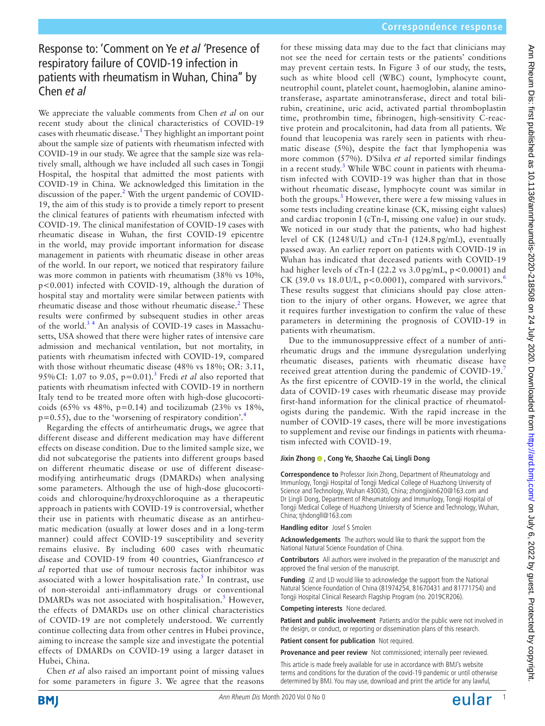# Response to: 'Comment on Ye *et al '*Presence of respiratory failure of COVID-19 infection in patients with rheumatism in Wuhan, China'' by Chen *et al*

We appreciate the valuable comments from Chen *et al* on our recent study about the clinical characteristics of COVID-19 cases with rheumatic disease.<sup>[1](#page-1-0)</sup> They highlight an important point about the sample size of patients with rheumatism infected with COVID-19 in our study. We agree that the sample size was relatively small, although we have included all such cases in Tongji Hospital, the hospital that admitted the most patients with COVID-19 in China. We acknowledged this limitation in the discussion of the paper. $<sup>2</sup>$  $<sup>2</sup>$  $<sup>2</sup>$  With the urgent pandemic of COVID-</sup> 19, the aim of this study is to provide a timely report to present the clinical features of patients with rheumatism infected with COVID-19. The clinical manifestation of COVID-19 cases with rheumatic disease in Wuhan, the first COVID-19 epicentre in the world, may provide important information for disease management in patients with rheumatic disease in other areas of the world. In our report, we noticed that respiratory failure was more common in patients with rheumatism (38% vs 10%, p<0.001) infected with COVID-19, although the duration of hospital stay and mortality were similar between patients with rheumatic disease and those without rheumatic disease.<sup>[2](#page-1-1)</sup> These results were confirmed by subsequent studies in other areas of the world. $34$  An analysis of COVID-19 cases in Massachusetts, USA showed that there were higher rates of intensive care admission and mechanical ventilation, but not mortality, in patients with rheumatism infected with COVID-19, compared with those without rheumatic disease (48% vs 18%; OR: 3.11, 95%CI: 1.07 to 9.05, p=0.01).[3](#page-1-2) Fredi *et al* also reported that patients with rheumatism infected with COVID-19 in northern Italy tend to be treated more often with high-dose glucocorticoids (65% vs 48%,  $p=0.14$ ) and tocilizumab (23% vs 18%,  $p=0.55$ ), due to the 'worsening of respiratory condition'.<sup>[4](#page-1-3)</sup>

Regarding the effects of antirheumatic drugs, we agree that different disease and different medication may have different effects on disease condition. Due to the limited sample size, we did not subcategorise the patients into different groups based on different rheumatic disease or use of different diseasemodifying antirheumatic drugs (DMARDs) when analysing some parameters. Although the use of high-dose glucocorticoids and chloroquine/hydroxychloroquine as a therapeutic approach in patients with COVID-19 is controversial, whether their use in patients with rheumatic disease as an antirheumatic medication (usually at lower doses and in a long-term manner) could affect COVID-19 susceptibility and severity remains elusive. By including 600 cases with rheumatic disease and COVID-19 from 40 countries, Gianfrancesco *et al* reported that use of tumour necrosis factor inhibitor was associated with a lower hospitalisation rate.<sup>[5](#page-1-4)</sup> In contrast, use of non-steroidal anti-inflammatory drugs or conventional DMARDs was not associated with hospitalisation.<sup>[5](#page-1-4)</sup> However, the effects of DMARDs use on other clinical characteristics of COVID-19 are not completely understood. We currently continue collecting data from other centres in Hubei province, aiming to increase the sample size and investigate the potential effects of DMARDs on COVID-19 using a larger dataset in Hubei, China.

Chen *et al* also raised an important point of missing values for some parameters in figure 3. We agree that the reasons

for these missing data may due to the fact that clinicians may not see the need for certain tests or the patients' conditions may prevent certain tests. In Figure 3 of our study, the tests, such as white blood cell (WBC) count, lymphocyte count, neutrophil count, platelet count, haemoglobin, alanine aminotransferase, aspartate aminotransferase, direct and total bilirubin, creatinine, uric acid, activated partial thromboplastin time, prothrombin time, fibrinogen, high-sensitivity C-reactive protein and procalcitonin, had data from all patients. We found that leucopenia was rarely seen in patients with rheumatic disease  $(5\%)$ , despite the fact that lymphopenia was more common (57%). D'Silva *et al* reported similar findings in a recent study.<sup>[3](#page-1-2)</sup> While WBC count in patients with rheumatism infected with COVID-19 was higher than that in those without rheumatic disease, lymphocyte count was similar in both the groups.<sup>[3](#page-1-2)</sup> However, there were a few missing values in some tests including creatine kinase (CK, missing eight values) and cardiac troponin I (cTn-I, missing one value) in our study. We noticed in our study that the patients, who had highest level of CK (1248 U/L) and cTn-I (124.8 pg/mL), eventually passed away. An earlier report on patients with COVID-19 in Wuhan has indicated that deceased patients with COVID-19 had higher levels of cTn-I (22.2 vs  $3.0 \text{ pg/mL}$ , p<0.0001) and CK (39.0 vs  $18.0 \text{ U/L}$ , p<0.0001), compared with survivors.<sup>[6](#page-1-5)</sup> These results suggest that clinicians should pay close attention to the injury of other organs. However, we agree that it requires further investigation to confirm the value of these parameters in determining the prognosis of COVID-19 in patients with rheumatism.

Due to the immunosuppressive effect of a number of antirheumatic drugs and the immune dysregulation underlying rheumatic diseases, patients with rheumatic disease have received great attention during the pandemic of COVID-19.[7](#page-1-6) As the first epicentre of COVID-19 in the world, the clinical data of COVID-19 cases with rheumatic disease may provide first-hand information for the clinical practice of rheumatologists during the pandemic. With the rapid increase in the number of COVID-19 cases, there will be more investigations to supplement and revise our findings in patients with rheumatism infected with COVID-19.

### **Jixin Zhong , Cong Ye, Shaozhe Cai, Lingli Dong**

**Correspondence to** Professor Jixin Zhong, Department of Rheumatology and Immunlogy, Tongji Hospital of Tongji Medical College of Huazhong University of Science and Technology, Wuhan 430030, China; zhongjixin620@163.com and Dr Lingli Dong, Department of Rheumatology and Immunlogy, Tongji Hospital of Tongji Medical College of Huazhong University of Science and Technology, Wuhan, China; tjhdongll@163.com

**Handling editor** Josef S Smolen

**Acknowledgements** The authors would like to thank the support from the National Natural Science Foundation of China.

**Contributors** All authors were involved in the preparation of the manuscript and approved the final version of the manuscript.

Funding JZ and LD would like to acknowledge the support from the National Natural Science Foundation of China (81974254, 81670431 and 81771754) and Tongji Hospital Clinical Research Flagship Program (no. 2019CR206).

**Competing interests** None declared.

**Patient and public involvement** Patients and/or the public were not involved in the design, or conduct, or reporting or dissemination plans of this research.

**Patient consent for publication** Not required.

**Provenance and peer review** Not commissioned; internally peer reviewed.

This article is made freely available for use in accordance with BMJ's website terms and conditions for the duration of the covid-19 pandemic or until otherwise determined by BMJ. You may use, download and print the article for any lawful,